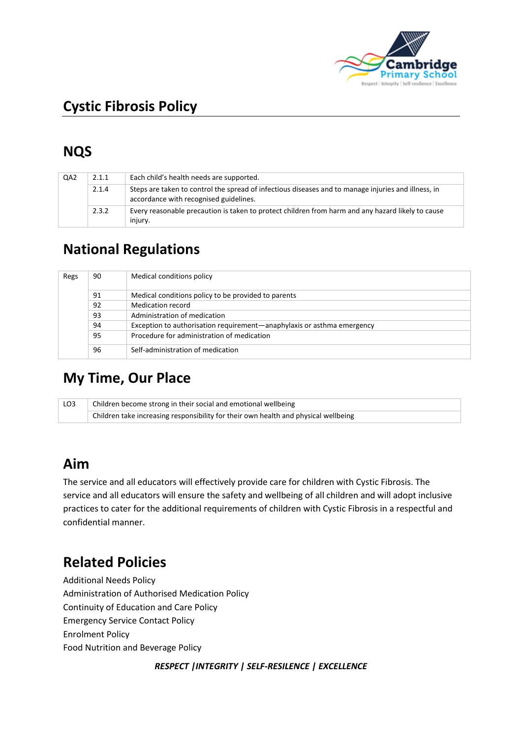

# **Cystic Fibrosis Policy**

# **NQS**

| QA <sub>2</sub> | 2.1.1 | Each child's health needs are supported.                                                                                                      |
|-----------------|-------|-----------------------------------------------------------------------------------------------------------------------------------------------|
|                 | 2.1.4 | Steps are taken to control the spread of infectious diseases and to manage injuries and illness, in<br>accordance with recognised guidelines. |
|                 | 2.3.2 | Every reasonable precaution is taken to protect children from harm and any hazard likely to cause<br>injury.                                  |

## **National Regulations**

| Regs | 90 | Medical conditions policy                                              |
|------|----|------------------------------------------------------------------------|
|      | 91 | Medical conditions policy to be provided to parents                    |
|      | 92 | Medication record                                                      |
|      | 93 | Administration of medication                                           |
|      | 94 | Exception to authorisation requirement—anaphylaxis or asthma emergency |
|      | 95 | Procedure for administration of medication                             |
|      | 96 | Self-administration of medication                                      |

## **My Time, Our Place**

| LO3 | Children become strong in their social and emotional wellbeing                                     |  |  |
|-----|----------------------------------------------------------------------------------------------------|--|--|
|     | $\overline{a}$ Children take increasing responsibility for their own health and physical wellbeing |  |  |

## **Aim**

The service and all educators will effectively provide care for children with Cystic Fibrosis. The service and all educators will ensure the safety and wellbeing of all children and will adopt inclusive practices to cater for the additional requirements of children with Cystic Fibrosis in a respectful and confidential manner.

## **Related Policies**

Additional Needs Policy Administration of Authorised Medication Policy Continuity of Education and Care Policy Emergency Service Contact Policy Enrolment Policy Food Nutrition and Beverage Policy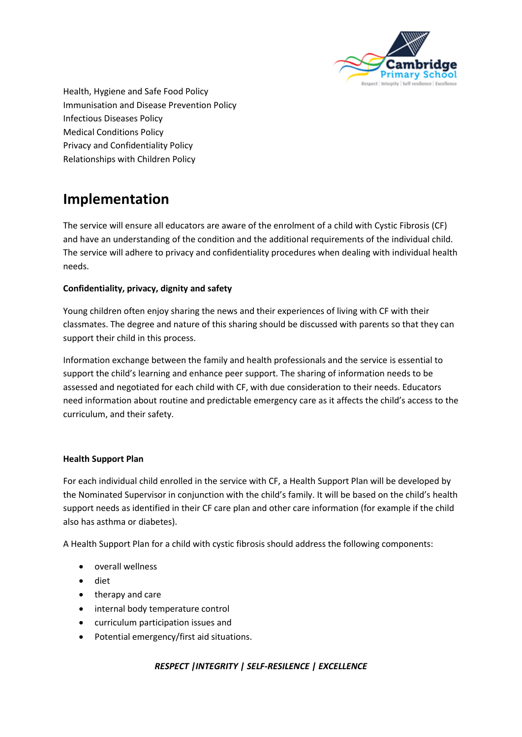

Health, Hygiene and Safe Food Policy Immunisation and Disease Prevention Policy Infectious Diseases Policy Medical Conditions Policy Privacy and Confidentiality Policy Relationships with Children Policy

## **Implementation**

The service will ensure all educators are aware of the enrolment of a child with Cystic Fibrosis (CF) and have an understanding of the condition and the additional requirements of the individual child. The service will adhere to privacy and confidentiality procedures when dealing with individual health needs.

### **Confidentiality, privacy, dignity and safety**

Young children often enjoy sharing the news and their experiences of living with CF with their classmates. The degree and nature of this sharing should be discussed with parents so that they can support their child in this process.

Information exchange between the family and health professionals and the service is essential to support the child's learning and enhance peer support. The sharing of information needs to be assessed and negotiated for each child with CF, with due consideration to their needs. Educators need information about routine and predictable emergency care as it affects the child's access to the curriculum, and their safety.

### **Health Support Plan**

For each individual child enrolled in the service with CF, a Health Support Plan will be developed by the Nominated Supervisor in conjunction with the child's family. It will be based on the child's health support needs as identified in their CF care plan and other care information (for example if the child also has asthma or diabetes).

A Health Support Plan for a child with cystic fibrosis should address the following components:

- overall wellness
- diet
- therapy and care
- internal body temperature control
- curriculum participation issues and
- Potential emergency/first aid situations.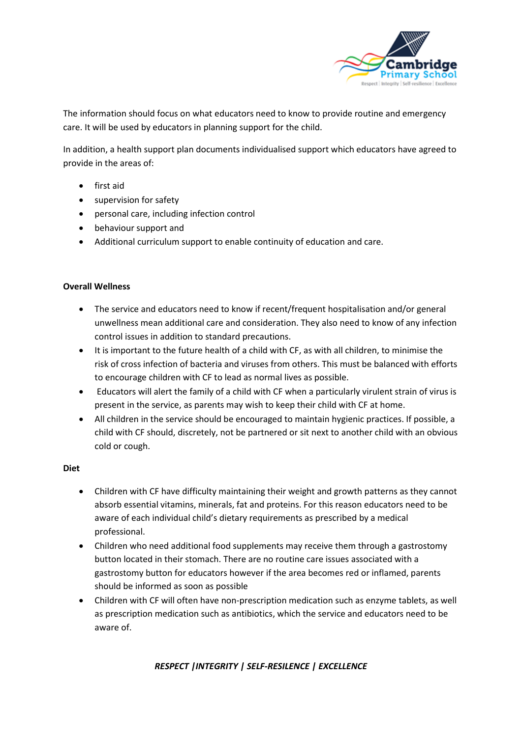

The information should focus on what educators need to know to provide routine and emergency care. It will be used by educators in planning support for the child.

In addition, a health support plan documents individualised support which educators have agreed to provide in the areas of:

- first aid
- supervision for safety
- personal care, including infection control
- behaviour support and
- Additional curriculum support to enable continuity of education and care.

### **Overall Wellness**

- The service and educators need to know if recent/frequent hospitalisation and/or general unwellness mean additional care and consideration. They also need to know of any infection control issues in addition to standard precautions.
- It is important to the future health of a child with CF, as with all children, to minimise the risk of cross infection of bacteria and viruses from others. This must be balanced with efforts to encourage children with CF to lead as normal lives as possible.
- Educators will alert the family of a child with CF when a particularly virulent strain of virus is present in the service, as parents may wish to keep their child with CF at home.
- All children in the service should be encouraged to maintain hygienic practices. If possible, a child with CF should, discretely, not be partnered or sit next to another child with an obvious cold or cough.

#### **Diet**

- Children with CF have difficulty maintaining their weight and growth patterns as they cannot absorb essential vitamins, minerals, fat and proteins. For this reason educators need to be aware of each individual child's dietary requirements as prescribed by a medical professional.
- Children who need additional food supplements may receive them through a gastrostomy button located in their stomach. There are no routine care issues associated with a gastrostomy button for educators however if the area becomes red or inflamed, parents should be informed as soon as possible
- Children with CF will often have non-prescription medication such as enzyme tablets, as well as prescription medication such as antibiotics, which the service and educators need to be aware of.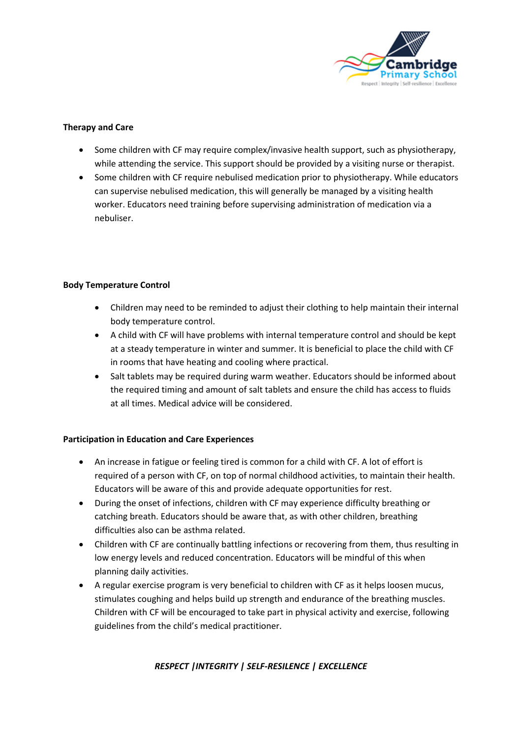

### **Therapy and Care**

- Some children with CF may require complex/invasive health support, such as physiotherapy, while attending the service. This support should be provided by a visiting nurse or therapist.
- Some children with CF require nebulised medication prior to physiotherapy. While educators can supervise nebulised medication, this will generally be managed by a visiting health worker. Educators need training before supervising administration of medication via a nebuliser.

### **Body Temperature Control**

- Children may need to be reminded to adjust their clothing to help maintain their internal body temperature control.
- A child with CF will have problems with internal temperature control and should be kept at a steady temperature in winter and summer. It is beneficial to place the child with CF in rooms that have heating and cooling where practical.
- Salt tablets may be required during warm weather. Educators should be informed about the required timing and amount of salt tablets and ensure the child has access to fluids at all times. Medical advice will be considered.

### **Participation in Education and Care Experiences**

- An increase in fatigue or feeling tired is common for a child with CF. A lot of effort is required of a person with CF, on top of normal childhood activities, to maintain their health. Educators will be aware of this and provide adequate opportunities for rest.
- During the onset of infections, children with CF may experience difficulty breathing or catching breath. Educators should be aware that, as with other children, breathing difficulties also can be asthma related.
- Children with CF are continually battling infections or recovering from them, thus resulting in low energy levels and reduced concentration. Educators will be mindful of this when planning daily activities.
- A regular exercise program is very beneficial to children with CF as it helps loosen mucus, stimulates coughing and helps build up strength and endurance of the breathing muscles. Children with CF will be encouraged to take part in physical activity and exercise, following guidelines from the child's medical practitioner.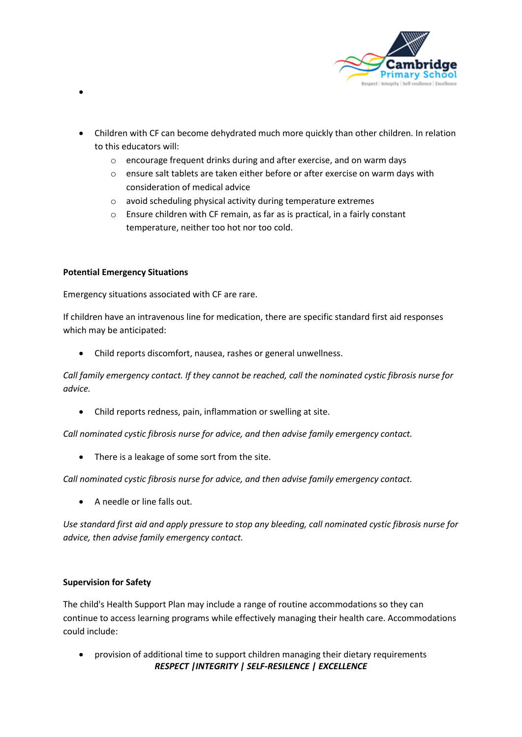

- Children with CF can become dehydrated much more quickly than other children. In relation to this educators will:
	- o encourage frequent drinks during and after exercise, and on warm days
	- o ensure salt tablets are taken either before or after exercise on warm days with consideration of medical advice
	- o avoid scheduling physical activity during temperature extremes
	- o Ensure children with CF remain, as far as is practical, in a fairly constant temperature, neither too hot nor too cold.

### **Potential Emergency Situations**

•

Emergency situations associated with CF are rare.

If children have an intravenous line for medication, there are specific standard first aid responses which may be anticipated:

• Child reports discomfort, nausea, rashes or general unwellness.

*Call family emergency contact. If they cannot be reached, call the nominated cystic fibrosis nurse for advice.*

• Child reports redness, pain, inflammation or swelling at site.

*Call nominated cystic fibrosis nurse for advice, and then advise family emergency contact.*

• There is a leakage of some sort from the site.

*Call nominated cystic fibrosis nurse for advice, and then advise family emergency contact.*

• A needle or line falls out.

*Use standard first aid and apply pressure to stop any bleeding, call nominated cystic fibrosis nurse for advice, then advise family emergency contact.*

### **Supervision for Safety**

The child's Health Support Plan may include a range of routine accommodations so they can continue to access learning programs while effectively managing their health care. Accommodations could include:

*RESPECT |INTEGRITY | SELF-RESILENCE | EXCELLENCE* • provision of additional time to support children managing their dietary requirements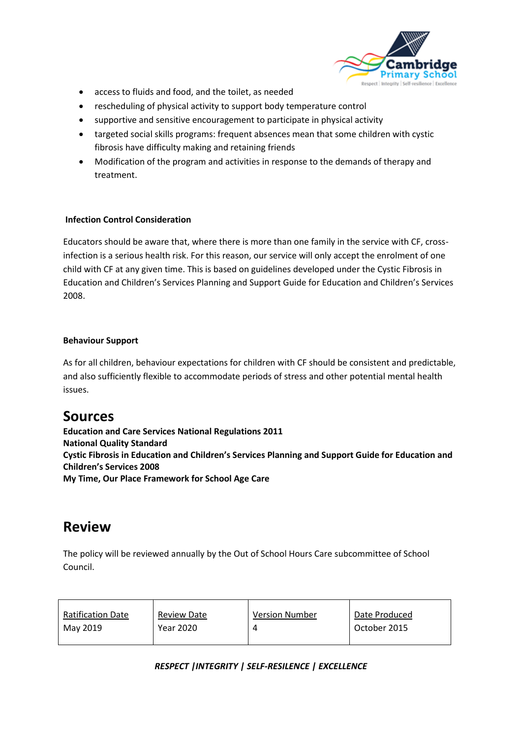

- access to fluids and food, and the toilet, as needed
- rescheduling of physical activity to support body temperature control
- supportive and sensitive encouragement to participate in physical activity
- targeted social skills programs: frequent absences mean that some children with cystic fibrosis have difficulty making and retaining friends
- Modification of the program and activities in response to the demands of therapy and treatment.

### **Infection Control Consideration**

Educators should be aware that, where there is more than one family in the service with CF, crossinfection is a serious health risk. For this reason, our service will only accept the enrolment of one child with CF at any given time. This is based on guidelines developed under the Cystic Fibrosis in Education and Children's Services Planning and Support Guide for Education and Children's Services 2008.

### **Behaviour Support**

As for all children, behaviour expectations for children with CF should be consistent and predictable, and also sufficiently flexible to accommodate periods of stress and other potential mental health issues.

## **Sources**

**Education and Care Services National Regulations 2011 National Quality Standard Cystic Fibrosis in Education and Children's Services Planning and Support Guide for Education and Children's Services 2008 My Time, Our Place Framework for School Age Care**

## **Review**

The policy will be reviewed annually by the Out of School Hours Care subcommittee of School Council.

| <b>Ratification Date</b> | <b>Review Date</b> | <b>Version Number</b> | Date Produced |
|--------------------------|--------------------|-----------------------|---------------|
| May 2019                 | Year 2020          |                       | October 2015  |